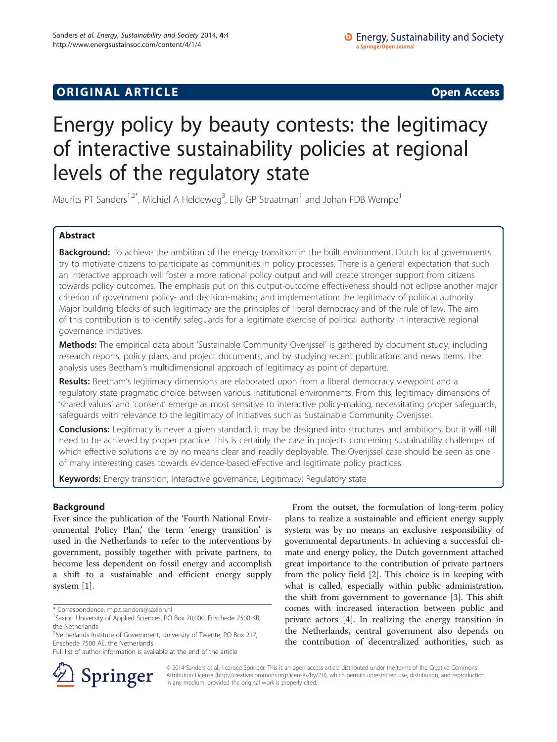## **ORIGINAL ARTICLE CONSUMING A LIGACION** CONSUMING A LIGACION CONSUMING A LIGACION CONSUMING A LIGACION CONSUMING A LIGACION CONSUMING A LIGACION CONSUMING A LIGACION CONSUMING A LIGACION CONSUMING A LIGACION CONSUMING A

# Energy policy by beauty contests: the legitimacy of interactive sustainability policies at regional levels of the regulatory state

Maurits PT Sanders<sup>1,2\*</sup>, Michiel A Heldeweg<sup>3</sup>, Elly GP Straatman<sup>1</sup> and Johan FDB Wempe<sup>1</sup>

## Abstract

Background: To achieve the ambition of the energy transition in the built environment, Dutch local governments try to motivate citizens to participate as communities in policy processes. There is a general expectation that such an interactive approach will foster a more rational policy output and will create stronger support from citizens towards policy outcomes. The emphasis put on this output-outcome effectiveness should not eclipse another major criterion of government policy- and decision-making and implementation: the legitimacy of political authority. Major building blocks of such legitimacy are the principles of liberal democracy and of the rule of law. The aim of this contribution is to identify safeguards for a legitimate exercise of political authority in interactive regional governance initiatives.

Methods: The empirical data about 'Sustainable Community Overijssel' is gathered by document study, including research reports, policy plans, and project documents, and by studying recent publications and news items. The analysis uses Beetham's multidimensional approach of legitimacy as point of departure.

Results: Beetham's legitimacy dimensions are elaborated upon from a liberal democracy viewpoint and a regulatory state pragmatic choice between various institutional environments. From this, legitimacy dimensions of 'shared values' and 'consent' emerge as most sensitive to interactive policy-making, necessitating proper safeguards, safeguards with relevance to the legitimacy of initiatives such as Sustainable Community Overijssel.

**Conclusions:** Legitimacy is never a given standard, it may be designed into structures and ambitions, but it will still need to be achieved by proper practice. This is certainly the case in projects concerning sustainability challenges of which effective solutions are by no means clear and readily deployable. The Overijssel case should be seen as one of many interesting cases towards evidence-based effective and legitimate policy practices.

Keywords: Energy transition; Interactive governance; Legitimacy; Regulatory state

## **Background**

Ever since the publication of the 'Fourth National Environmental Policy Plan,' the term 'energy transition' is used in the Netherlands to refer to the interventions by government, possibly together with private partners, to become less dependent on fossil energy and accomplish a shift to a sustainable and efficient energy supply system [[1](#page-11-0)].

Full list of author information is available at the end of the article



From the outset, the formulation of long-term policy plans to realize a sustainable and efficient energy supply system was by no means an exclusive responsibility of governmental departments. In achieving a successful climate and energy policy, the Dutch government attached great importance to the contribution of private partners from the policy field [[2](#page-11-0)]. This choice is in keeping with what is called, especially within public administration, the shift from government to governance [[3\]](#page-11-0). This shift comes with increased interaction between public and private actors [[4\]](#page-11-0). In realizing the energy transition in the Netherlands, central government also depends on the contribution of decentralized authorities, such as

© 2014 Sanders et al.; licensee Springer. This is an open access article distributed under the terms of the Creative Commons Attribution License [\(http://creativecommons.org/licenses/by/2.0\)](http://creativecommons.org/licenses/by/2.0), which permits unrestricted use, distribution, and reproduction in any medium, provided the original work is properly cited.

<sup>\*</sup> Correspondence: [m.p.t.sanders@saxion.nl](mailto:m.p.t.sanders@saxion.nl) <sup>1</sup>

<sup>&</sup>lt;sup>1</sup>Saxion University of Applied Sciences, PO Box 70,000, Enschede 7500 KB, the Netherlands

<sup>&</sup>lt;sup>2</sup>Netherlands Institute of Government, University of Twente, PO Box 217, Enschede 7500 AE, the Netherlands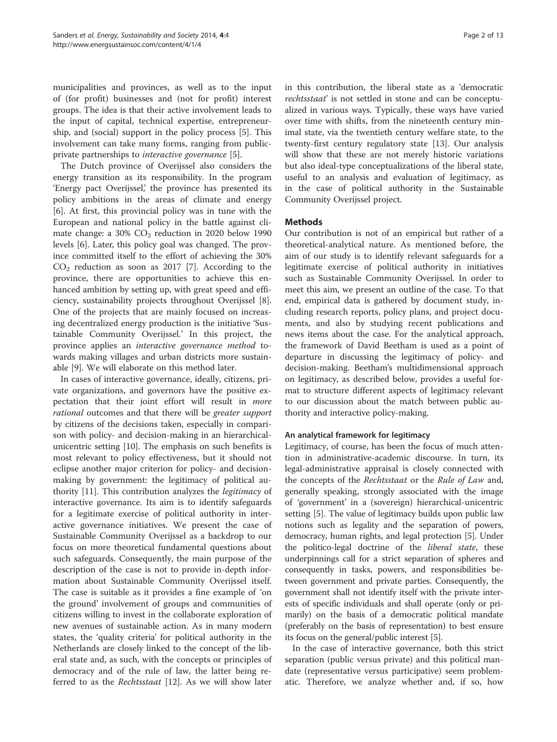municipalities and provinces, as well as to the input of (for profit) businesses and (not for profit) interest groups. The idea is that their active involvement leads to the input of capital, technical expertise, entrepreneurship, and (social) support in the policy process [[5\]](#page-11-0). This involvement can take many forms, ranging from publicprivate partnerships to interactive governance [[5\]](#page-11-0).

The Dutch province of Overijssel also considers the energy transition as its responsibility. In the program 'Energy pact Overijssel', the province has presented its policy ambitions in the areas of climate and energy [[6\]](#page-11-0). At first, this provincial policy was in tune with the European and national policy in the battle against climate change: a  $30\%$  CO<sub>2</sub> reduction in 2020 below 1990 levels [\[6](#page-11-0)]. Later, this policy goal was changed. The province committed itself to the effort of achieving the 30%  $CO<sub>2</sub>$  reduction as soon as 2017 [\[7](#page-11-0)]. According to the province, there are opportunities to achieve this enhanced ambition by setting up, with great speed and efficiency, sustainability projects throughout Overijssel [\[8](#page-11-0)]. One of the projects that are mainly focused on increasing decentralized energy production is the initiative 'Sustainable Community Overijssel.' In this project, the province applies an interactive governance method towards making villages and urban districts more sustainable [\[9](#page-11-0)]. We will elaborate on this method later.

In cases of interactive governance, ideally, citizens, private organizations, and governors have the positive expectation that their joint effort will result in more rational outcomes and that there will be greater support by citizens of the decisions taken, especially in comparison with policy- and decision-making in an hierarchicalunicentric setting [[10\]](#page-11-0). The emphasis on such benefits is most relevant to policy effectiveness, but it should not eclipse another major criterion for policy- and decisionmaking by government: the legitimacy of political authority [[11](#page-11-0)]. This contribution analyzes the legitimacy of interactive governance. Its aim is to identify safeguards for a legitimate exercise of political authority in interactive governance initiatives. We present the case of Sustainable Community Overijssel as a backdrop to our focus on more theoretical fundamental questions about such safeguards. Consequently, the main purpose of the description of the case is not to provide in-depth information about Sustainable Community Overijssel itself. The case is suitable as it provides a fine example of 'on the ground' involvement of groups and communities of citizens willing to invest in the collaborate exploration of new avenues of sustainable action. As in many modern states, the 'quality criteria' for political authority in the Netherlands are closely linked to the concept of the liberal state and, as such, with the concepts or principles of democracy and of the rule of law, the latter being referred to as the Rechtsstaat [[12](#page-11-0)]. As we will show later in this contribution, the liberal state as a 'democratic rechtsstaat' is not settled in stone and can be conceptualized in various ways. Typically, these ways have varied over time with shifts, from the nineteenth century minimal state, via the twentieth century welfare state, to the twenty-first century regulatory state [[13](#page-11-0)]. Our analysis will show that these are not merely historic variations but also ideal-type conceptualizations of the liberal state, useful to an analysis and evaluation of legitimacy, as in the case of political authority in the Sustainable Community Overijssel project.

## Methods

Our contribution is not of an empirical but rather of a theoretical-analytical nature. As mentioned before, the aim of our study is to identify relevant safeguards for a legitimate exercise of political authority in initiatives such as Sustainable Community Overijssel. In order to meet this aim, we present an outline of the case. To that end, empirical data is gathered by document study, including research reports, policy plans, and project documents, and also by studying recent publications and news items about the case. For the analytical approach, the framework of David Beetham is used as a point of departure in discussing the legitimacy of policy- and decision-making. Beetham's multidimensional approach on legitimacy, as described below, provides a useful format to structure different aspects of legitimacy relevant to our discussion about the match between public authority and interactive policy-making.

#### An analytical framework for legitimacy

Legitimacy, of course, has been the focus of much attention in administrative-academic discourse. In turn, its legal-administrative appraisal is closely connected with the concepts of the Rechtsstaat or the Rule of Law and, generally speaking, strongly associated with the image of 'government' in a (sovereign) hierarchical-unicentric setting [\[5](#page-11-0)]. The value of legitimacy builds upon public law notions such as legality and the separation of powers, democracy, human rights, and legal protection [\[5\]](#page-11-0). Under the politico-legal doctrine of the *liberal state*, these underpinnings call for a strict separation of spheres and consequently in tasks, powers, and responsibilities between government and private parties. Consequently, the government shall not identify itself with the private interests of specific individuals and shall operate (only or primarily) on the basis of a democratic political mandate (preferably on the basis of representation) to best ensure its focus on the general/public interest [[5](#page-11-0)].

In the case of interactive governance, both this strict separation (public versus private) and this political mandate (representative versus participative) seem problematic. Therefore, we analyze whether and, if so, how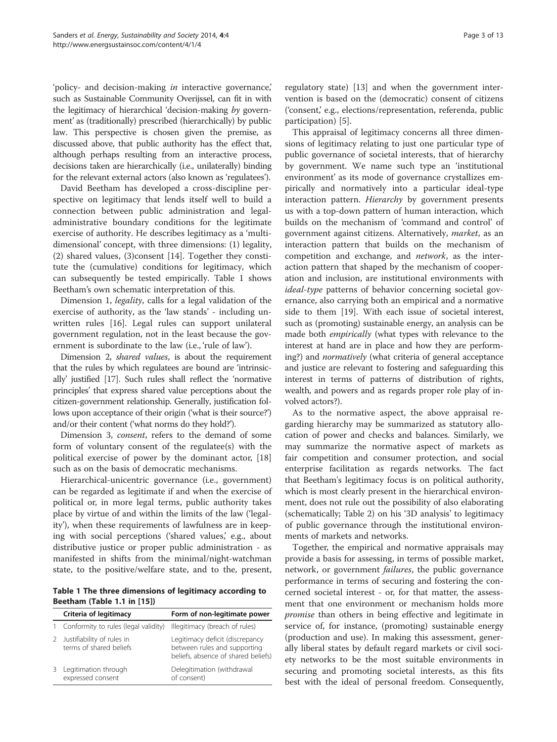'policy- and decision-making in interactive governance,' such as Sustainable Community Overijssel, can fit in with the legitimacy of hierarchical 'decision-making by government' as (traditionally) prescribed (hierarchically) by public law. This perspective is chosen given the premise, as discussed above, that public authority has the effect that, although perhaps resulting from an interactive process, decisions taken are hierarchically (i.e., unilaterally) binding for the relevant external actors (also known as 'regulatees').

David Beetham has developed a cross-discipline perspective on legitimacy that lends itself well to build a connection between public administration and legaladministrative boundary conditions for the legitimate exercise of authority. He describes legitimacy as a 'multidimensional' concept, with three dimensions: (1) legality, (2) shared values, (3)consent [\[14\]](#page-11-0). Together they constitute the (cumulative) conditions for legitimacy, which can subsequently be tested empirically. Table 1 shows Beetham's own schematic interpretation of this.

Dimension 1, legality, calls for a legal validation of the exercise of authority, as the 'law stands' - including unwritten rules [[16](#page-12-0)]. Legal rules can support unilateral government regulation, not in the least because the government is subordinate to the law (i.e., 'rule of law').

Dimension 2, shared values, is about the requirement that the rules by which regulatees are bound are 'intrinsically' justified [\[17\]](#page-12-0). Such rules shall reflect the 'normative principles' that express shared value perceptions about the citizen-government relationship. Generally, justification follows upon acceptance of their origin ('what is their source?') and/or their content ('what norms do they hold?').

Dimension 3, consent, refers to the demand of some form of voluntary consent of the regulatee(s) with the political exercise of power by the dominant actor, [[18](#page-12-0)] such as on the basis of democratic mechanisms.

Hierarchical-unicentric governance (i.e., government) can be regarded as legitimate if and when the exercise of political or, in more legal terms, public authority takes place by virtue of and within the limits of the law ('legality'), when these requirements of lawfulness are in keeping with social perceptions ('shared values,' e.g., about distributive justice or proper public administration - as manifested in shifts from the minimal/night-watchman state, to the positive/welfare state, and to the, present,

Table 1 The three dimensions of legitimacy according to Beetham (Table 1.1 in [[15](#page-11-0)])

|   | Criteria of legitimacy                                | Form of non-legitimate power                                                                           |
|---|-------------------------------------------------------|--------------------------------------------------------------------------------------------------------|
|   | Conformity to rules (legal validity)                  | Illegitimacy (breach of rules)                                                                         |
| 2 | Justifiability of rules in<br>terms of shared beliefs | Legitimacy deficit (discrepancy<br>between rules and supporting<br>beliefs, absence of shared beliefs) |
|   | Legitimation through<br>expressed consent             | Delegitimation (withdrawal<br>of consent)                                                              |

regulatory state) [[13\]](#page-11-0) and when the government intervention is based on the (democratic) consent of citizens ('consent,' e.g., elections/representation, referenda, public participation) [[5\]](#page-11-0).

This appraisal of legitimacy concerns all three dimensions of legitimacy relating to just one particular type of public governance of societal interests, that of hierarchy by government. We name such type an 'institutional environment' as its mode of governance crystallizes empirically and normatively into a particular ideal-type interaction pattern. Hierarchy by government presents us with a top-down pattern of human interaction, which builds on the mechanism of 'command and control' of government against citizens. Alternatively, *market*, as an interaction pattern that builds on the mechanism of competition and exchange, and network, as the interaction pattern that shaped by the mechanism of cooperation and inclusion, are institutional environments with ideal-type patterns of behavior concerning societal governance, also carrying both an empirical and a normative side to them [[19\]](#page-12-0). With each issue of societal interest, such as (promoting) sustainable energy, an analysis can be made both *empirically* (what types with relevance to the interest at hand are in place and how they are performing?) and normatively (what criteria of general acceptance and justice are relevant to fostering and safeguarding this interest in terms of patterns of distribution of rights, wealth, and powers and as regards proper role play of involved actors?).

As to the normative aspect, the above appraisal regarding hierarchy may be summarized as statutory allocation of power and checks and balances. Similarly, we may summarize the normative aspect of markets as fair competition and consumer protection, and social enterprise facilitation as regards networks. The fact that Beetham's legitimacy focus is on political authority, which is most clearly present in the hierarchical environment, does not rule out the possibility of also elaborating (schematically; Table [2\)](#page-3-0) on his '3D analysis' to legitimacy of public governance through the institutional environments of markets and networks.

Together, the empirical and normative appraisals may provide a basis for assessing, in terms of possible market, network, or government *failures*, the public governance performance in terms of securing and fostering the concerned societal interest - or, for that matter, the assessment that one environment or mechanism holds more promise than others in being effective and legitimate in service of, for instance, (promoting) sustainable energy (production and use). In making this assessment, generally liberal states by default regard markets or civil society networks to be the most suitable environments in securing and promoting societal interests, as this fits best with the ideal of personal freedom. Consequently,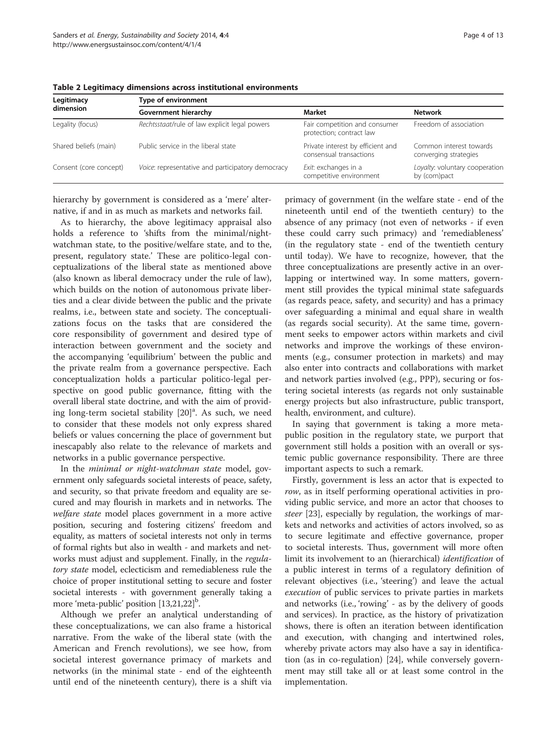| Legitimacy             | <b>Type of environment</b>                        |                                                              |                                                  |  |
|------------------------|---------------------------------------------------|--------------------------------------------------------------|--------------------------------------------------|--|
| dimension              | Government hierarchy                              | Market                                                       | <b>Network</b>                                   |  |
| Legality (focus)       | Rechtsstaat/rule of law explicit legal powers     | Fair competition and consumer<br>protection; contract law    | Freedom of association                           |  |
| Shared beliefs (main)  | Public service in the liberal state               | Private interest by efficient and<br>consensual transactions | Common interest towards<br>converging strategies |  |
| Consent (core concept) | Voice: representative and participatory democracy | Exit: exchanges in a<br>competitive environment              | Loyalty: voluntary cooperation<br>by (com)pact   |  |

<span id="page-3-0"></span>Table 2 Legitimacy dimensions across institutional environments

hierarchy by government is considered as a 'mere' alternative, if and in as much as markets and networks fail.

As to hierarchy, the above legitimacy appraisal also holds a reference to 'shifts from the minimal/nightwatchman state, to the positive/welfare state, and to the, present, regulatory state.' These are politico-legal conceptualizations of the liberal state as mentioned above (also known as liberal democracy under the rule of law), which builds on the notion of autonomous private liberties and a clear divide between the public and the private realms, i.e., between state and society. The conceptualizations focus on the tasks that are considered the core responsibility of government and desired type of interaction between government and the society and the accompanying 'equilibrium' between the public and the private realm from a governance perspective. Each conceptualization holds a particular politico-legal perspective on good public governance, fitting with the overall liberal state doctrine, and with the aim of provid-ing long-term societal stability [[20](#page-12-0)]<sup>a</sup>. As such, we need to consider that these models not only express shared beliefs or values concerning the place of government but inescapably also relate to the relevance of markets and networks in a public governance perspective.

In the minimal or night-watchman state model, government only safeguards societal interests of peace, safety, and security, so that private freedom and equality are secured and may flourish in markets and in networks. The welfare state model places government in a more active position, securing and fostering citizens' freedom and equality, as matters of societal interests not only in terms of formal rights but also in wealth - and markets and networks must adjust and supplement. Finally, in the regulatory state model, eclecticism and remediableness rule the choice of proper institutional setting to secure and foster societal interests - with government generally taking a more 'meta-public' position [\[13](#page-11-0)[,21,22](#page-12-0)]<sup>b</sup>.

Although we prefer an analytical understanding of these conceptualizations, we can also frame a historical narrative. From the wake of the liberal state (with the American and French revolutions), we see how, from societal interest governance primacy of markets and networks (in the minimal state - end of the eighteenth until end of the nineteenth century), there is a shift via

primacy of government (in the welfare state - end of the nineteenth until end of the twentieth century) to the absence of any primacy (not even of networks - if even these could carry such primacy) and 'remediableness' (in the regulatory state - end of the twentieth century until today). We have to recognize, however, that the three conceptualizations are presently active in an overlapping or intertwined way. In some matters, government still provides the typical minimal state safeguards (as regards peace, safety, and security) and has a primacy over safeguarding a minimal and equal share in wealth (as regards social security). At the same time, government seeks to empower actors within markets and civil networks and improve the workings of these environments (e.g., consumer protection in markets) and may also enter into contracts and collaborations with market and network parties involved (e.g., PPP), securing or fostering societal interests (as regards not only sustainable energy projects but also infrastructure, public transport, health, environment, and culture).

In saying that government is taking a more metapublic position in the regulatory state, we purport that government still holds a position with an overall or systemic public governance responsibility. There are three important aspects to such a remark.

Firstly, government is less an actor that is expected to row, as in itself performing operational activities in providing public service, and more an actor that chooses to steer [[23\]](#page-12-0), especially by regulation, the workings of markets and networks and activities of actors involved, so as to secure legitimate and effective governance, proper to societal interests. Thus, government will more often limit its involvement to an (hierarchical) identification of a public interest in terms of a regulatory definition of relevant objectives (i.e., 'steering') and leave the actual execution of public services to private parties in markets and networks (i.e., 'rowing' - as by the delivery of goods and services). In practice, as the history of privatization shows, there is often an iteration between identification and execution, with changing and intertwined roles, whereby private actors may also have a say in identification (as in co-regulation) [\[24](#page-12-0)], while conversely government may still take all or at least some control in the implementation.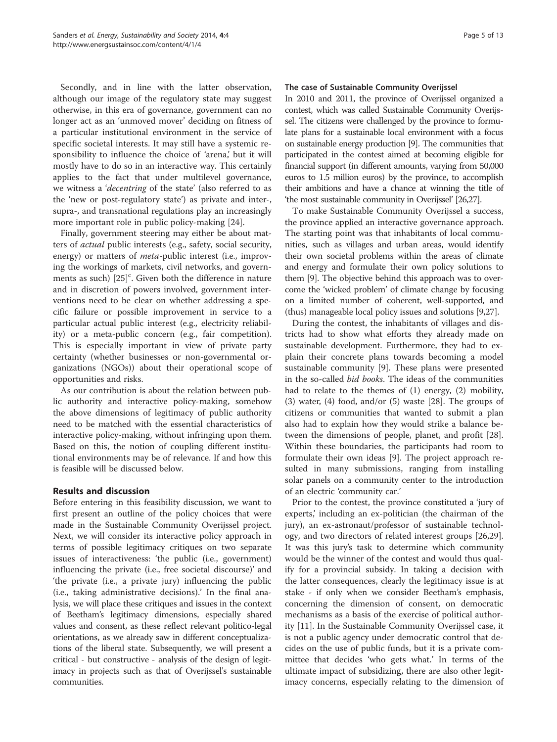Secondly, and in line with the latter observation, although our image of the regulatory state may suggest otherwise, in this era of governance, government can no longer act as an 'unmoved mover' deciding on fitness of a particular institutional environment in the service of specific societal interests. It may still have a systemic responsibility to influence the choice of 'arena,' but it will mostly have to do so in an interactive way. This certainly applies to the fact that under multilevel governance, we witness a 'decentring of the state' (also referred to as the 'new or post-regulatory state') as private and inter-, supra-, and transnational regulations play an increasingly more important role in public policy-making [[24](#page-12-0)].

Finally, government steering may either be about matters of actual public interests (e.g., safety, social security, energy) or matters of *meta*-public interest (i.e., improving the workings of markets, civil networks, and governments as such)  $[25]$ <sup>c</sup>. Given both the difference in nature and in discretion of powers involved, government interventions need to be clear on whether addressing a specific failure or possible improvement in service to a particular actual public interest (e.g., electricity reliability) or a meta-public concern (e.g., fair competition). This is especially important in view of private party certainty (whether businesses or non-governmental organizations (NGOs)) about their operational scope of opportunities and risks.

As our contribution is about the relation between public authority and interactive policy-making, somehow the above dimensions of legitimacy of public authority need to be matched with the essential characteristics of interactive policy-making, without infringing upon them. Based on this, the notion of coupling different institutional environments may be of relevance. If and how this is feasible will be discussed below.

## Results and discussion

Before entering in this feasibility discussion, we want to first present an outline of the policy choices that were made in the Sustainable Community Overijssel project. Next, we will consider its interactive policy approach in terms of possible legitimacy critiques on two separate issues of interactiveness: 'the public (i.e., government) influencing the private (i.e., free societal discourse)' and 'the private (i.e., a private jury) influencing the public (i.e., taking administrative decisions).' In the final analysis, we will place these critiques and issues in the context of Beetham's legitimacy dimensions, especially shared values and consent, as these reflect relevant politico-legal orientations, as we already saw in different conceptualizations of the liberal state. Subsequently, we will present a critical - but constructive - analysis of the design of legitimacy in projects such as that of Overijssel's sustainable communities.

## The case of Sustainable Community Overijssel

In 2010 and 2011, the province of Overijssel organized a contest, which was called Sustainable Community Overijssel. The citizens were challenged by the province to formulate plans for a sustainable local environment with a focus on sustainable energy production [\[9](#page-11-0)]. The communities that participated in the contest aimed at becoming eligible for financial support (in different amounts, varying from 50,000 euros to 1.5 million euros) by the province, to accomplish their ambitions and have a chance at winning the title of 'the most sustainable community in Overijssel' [\[26,27](#page-12-0)].

To make Sustainable Community Overijssel a success, the province applied an interactive governance approach. The starting point was that inhabitants of local communities, such as villages and urban areas, would identify their own societal problems within the areas of climate and energy and formulate their own policy solutions to them [\[9](#page-11-0)]. The objective behind this approach was to overcome the 'wicked problem' of climate change by focusing on a limited number of coherent, well-supported, and (thus) manageable local policy issues and solutions [\[9](#page-11-0)[,27\]](#page-12-0).

During the contest, the inhabitants of villages and districts had to show what efforts they already made on sustainable development. Furthermore, they had to explain their concrete plans towards becoming a model sustainable community [[9\]](#page-11-0). These plans were presented in the so-called bid books. The ideas of the communities had to relate to the themes of (1) energy, (2) mobility, (3) water, (4) food, and/or (5) waste [[28\]](#page-12-0). The groups of citizens or communities that wanted to submit a plan also had to explain how they would strike a balance between the dimensions of people, planet, and profit [\[28](#page-12-0)]. Within these boundaries, the participants had room to formulate their own ideas [\[9](#page-11-0)]. The project approach resulted in many submissions, ranging from installing solar panels on a community center to the introduction of an electric 'community car.'

Prior to the contest, the province constituted a 'jury of experts,' including an ex-politician (the chairman of the jury), an ex-astronaut/professor of sustainable technology, and two directors of related interest groups [\[26,29](#page-12-0)]. It was this jury's task to determine which community would be the winner of the contest and would thus qualify for a provincial subsidy. In taking a decision with the latter consequences, clearly the legitimacy issue is at stake - if only when we consider Beetham's emphasis, concerning the dimension of consent, on democratic mechanisms as a basis of the exercise of political authority [\[11\]](#page-11-0). In the Sustainable Community Overijssel case, it is not a public agency under democratic control that decides on the use of public funds, but it is a private committee that decides 'who gets what.' In terms of the ultimate impact of subsidizing, there are also other legitimacy concerns, especially relating to the dimension of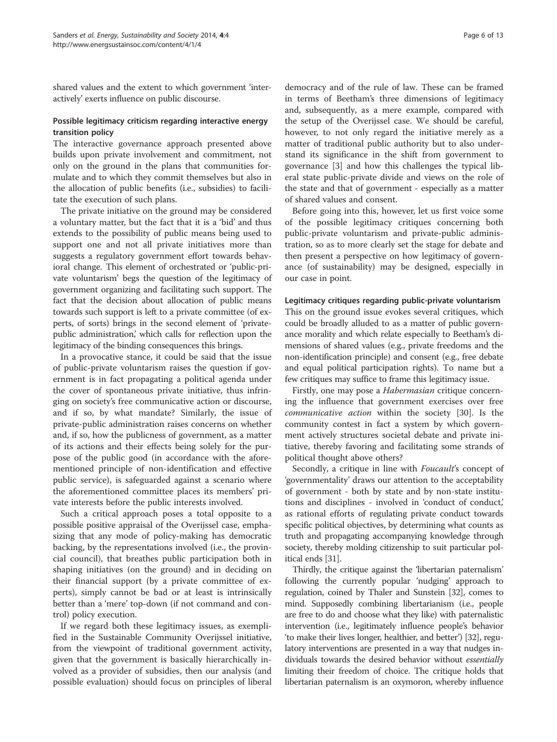shared values and the extent to which government 'interactively' exerts influence on public discourse.

## Possible legitimacy criticism regarding interactive energy transition policy

The interactive governance approach presented above builds upon private involvement and commitment, not only on the ground in the plans that communities formulate and to which they commit themselves but also in the allocation of public benefits (i.e., subsidies) to facilitate the execution of such plans.

The private initiative on the ground may be considered a voluntary matter, but the fact that it is a 'bid' and thus extends to the possibility of public means being used to support one and not all private initiatives more than suggests a regulatory government effort towards behavioral change. This element of orchestrated or 'public-private voluntarism' begs the question of the legitimacy of government organizing and facilitating such support. The fact that the decision about allocation of public means towards such support is left to a private committee (of experts, of sorts) brings in the second element of 'privatepublic administration,' which calls for reflection upon the legitimacy of the binding consequences this brings.

In a provocative stance, it could be said that the issue of public-private voluntarism raises the question if government is in fact propagating a political agenda under the cover of spontaneous private initiative, thus infringing on society's free communicative action or discourse, and if so, by what mandate? Similarly, the issue of private-public administration raises concerns on whether and, if so, how the publicness of government, as a matter of its actions and their effects being solely for the purpose of the public good (in accordance with the aforementioned principle of non-identification and effective public service), is safeguarded against a scenario where the aforementioned committee places its members' private interests before the public interests involved.

Such a critical approach poses a total opposite to a possible positive appraisal of the Overijssel case, emphasizing that any mode of policy-making has democratic backing, by the representations involved (i.e., the provincial council), that breathes public participation both in shaping initiatives (on the ground) and in deciding on their financial support (by a private committee of experts), simply cannot be bad or at least is intrinsically better than a 'mere' top-down (if not command and control) policy execution.

If we regard both these legitimacy issues, as exemplified in the Sustainable Community Overijssel initiative, from the viewpoint of traditional government activity, given that the government is basically hierarchically involved as a provider of subsidies, then our analysis (and possible evaluation) should focus on principles of liberal

democracy and of the rule of law. These can be framed in terms of Beetham's three dimensions of legitimacy and, subsequently, as a mere example, compared with the setup of the Overijssel case. We should be careful, however, to not only regard the initiative merely as a matter of traditional public authority but to also understand its significance in the shift from government to governance [[3](#page-11-0)] and how this challenges the typical liberal state public-private divide and views on the role of the state and that of government - especially as a matter of shared values and consent.

Before going into this, however, let us first voice some of the possible legitimacy critiques concerning both public-private voluntarism and private-public administration, so as to more clearly set the stage for debate and then present a perspective on how legitimacy of governance (of sustainability) may be designed, especially in our case in point.

### Legitimacy critiques regarding public-private voluntarism

This on the ground issue evokes several critiques, which could be broadly alluded to as a matter of public governance morality and which relate especially to Beetham's dimensions of shared values (e.g., private freedoms and the non-identification principle) and consent (e.g., free debate and equal political participation rights). To name but a few critiques may suffice to frame this legitimacy issue.

Firstly, one may pose a Habermasian critique concerning the influence that government exercises over free communicative action within the society [\[30](#page-12-0)]. Is the community contest in fact a system by which government actively structures societal debate and private initiative, thereby favoring and facilitating some strands of political thought above others?

Secondly, a critique in line with *Foucault's* concept of 'governmentality' draws our attention to the acceptability of government - both by state and by non-state institutions and disciplines - involved in 'conduct of conduct,' as rational efforts of regulating private conduct towards specific political objectives, by determining what counts as truth and propagating accompanying knowledge through society, thereby molding citizenship to suit particular political ends [[31](#page-12-0)].

Thirdly, the critique against the 'libertarian paternalism' following the currently popular 'nudging' approach to regulation, coined by Thaler and Sunstein [\[32](#page-12-0)], comes to mind. Supposedly combining libertarianism (i.e., people are free to do and choose what they like) with paternalistic intervention (i.e., legitimately influence people's behavior 'to make their lives longer, healthier, and better') [\[32\]](#page-12-0), regulatory interventions are presented in a way that nudges individuals towards the desired behavior without essentially limiting their freedom of choice. The critique holds that libertarian paternalism is an oxymoron, whereby influence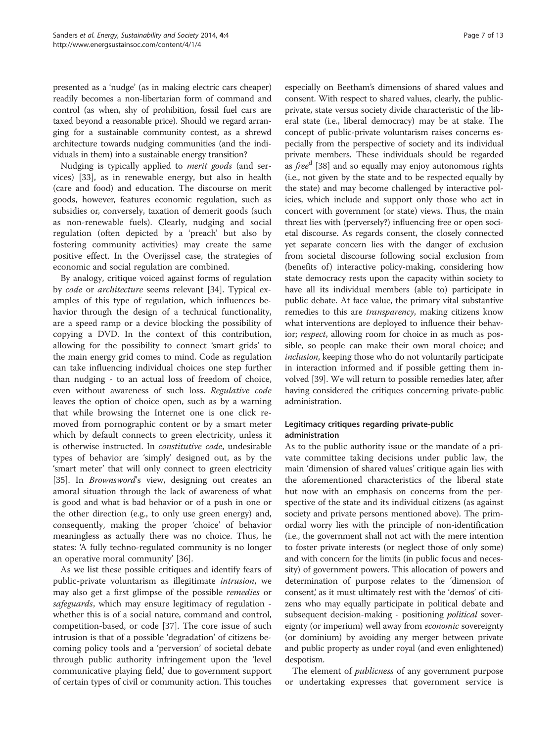presented as a 'nudge' (as in making electric cars cheaper) readily becomes a non-libertarian form of command and control (as when, shy of prohibition, fossil fuel cars are taxed beyond a reasonable price). Should we regard arranging for a sustainable community contest, as a shrewd architecture towards nudging communities (and the individuals in them) into a sustainable energy transition?

Nudging is typically applied to merit goods (and services) [\[33](#page-12-0)], as in renewable energy, but also in health (care and food) and education. The discourse on merit goods, however, features economic regulation, such as subsidies or, conversely, taxation of demerit goods (such as non-renewable fuels). Clearly, nudging and social regulation (often depicted by a 'preach' but also by fostering community activities) may create the same positive effect. In the Overijssel case, the strategies of economic and social regulation are combined.

By analogy, critique voiced against forms of regulation by code or architecture seems relevant [[34\]](#page-12-0). Typical examples of this type of regulation, which influences behavior through the design of a technical functionality, are a speed ramp or a device blocking the possibility of copying a DVD. In the context of this contribution, allowing for the possibility to connect 'smart grids' to the main energy grid comes to mind. Code as regulation can take influencing individual choices one step further than nudging - to an actual loss of freedom of choice, even without awareness of such loss. Regulative code leaves the option of choice open, such as by a warning that while browsing the Internet one is one click removed from pornographic content or by a smart meter which by default connects to green electricity, unless it is otherwise instructed. In constitutive code, undesirable types of behavior are 'simply' designed out, as by the 'smart meter' that will only connect to green electricity [[35\]](#page-12-0). In *Brownsword's* view, designing out creates an amoral situation through the lack of awareness of what is good and what is bad behavior or of a push in one or the other direction (e.g., to only use green energy) and, consequently, making the proper 'choice' of behavior meaningless as actually there was no choice. Thus, he states: 'A fully techno-regulated community is no longer an operative moral community' [\[36](#page-12-0)].

As we list these possible critiques and identify fears of public-private voluntarism as illegitimate intrusion, we may also get a first glimpse of the possible remedies or safeguards, which may ensure legitimacy of regulation whether this is of a social nature, command and control, competition-based, or code [[37\]](#page-12-0). The core issue of such intrusion is that of a possible 'degradation' of citizens becoming policy tools and a 'perversion' of societal debate through public authority infringement upon the 'level communicative playing field,' due to government support of certain types of civil or community action. This touches

especially on Beetham's dimensions of shared values and consent. With respect to shared values, clearly, the publicprivate, state versus society divide characteristic of the liberal state (i.e., liberal democracy) may be at stake. The concept of public-private voluntarism raises concerns especially from the perspective of society and its individual private members. These individuals should be regarded as  $free<sup>a</sup>$  [\[38](#page-12-0)] and so equally may enjoy autonomous rights (i.e., not given by the state and to be respected equally by the state) and may become challenged by interactive policies, which include and support only those who act in concert with government (or state) views. Thus, the main threat lies with (perversely?) influencing free or open societal discourse. As regards consent, the closely connected yet separate concern lies with the danger of exclusion from societal discourse following social exclusion from (benefits of) interactive policy-making, considering how state democracy rests upon the capacity within society to have all its individual members (able to) participate in public debate. At face value, the primary vital substantive remedies to this are *transparency*, making citizens know what interventions are deployed to influence their behavior; respect, allowing room for choice in as much as possible, so people can make their own moral choice; and inclusion, keeping those who do not voluntarily participate in interaction informed and if possible getting them involved [\[39\]](#page-12-0). We will return to possible remedies later, after having considered the critiques concerning private-public administration.

## Legitimacy critiques regarding private-public administration

As to the public authority issue or the mandate of a private committee taking decisions under public law, the main 'dimension of shared values' critique again lies with the aforementioned characteristics of the liberal state but now with an emphasis on concerns from the perspective of the state and its individual citizens (as against society and private persons mentioned above). The primordial worry lies with the principle of non-identification (i.e., the government shall not act with the mere intention to foster private interests (or neglect those of only some) and with concern for the limits (in public focus and necessity) of government powers. This allocation of powers and determination of purpose relates to the 'dimension of consent,' as it must ultimately rest with the 'demos' of citizens who may equally participate in political debate and subsequent decision-making - positioning *political* sovereignty (or imperium) well away from economic sovereignty (or dominium) by avoiding any merger between private and public property as under royal (and even enlightened) despotism.

The element of *publicness* of any government purpose or undertaking expresses that government service is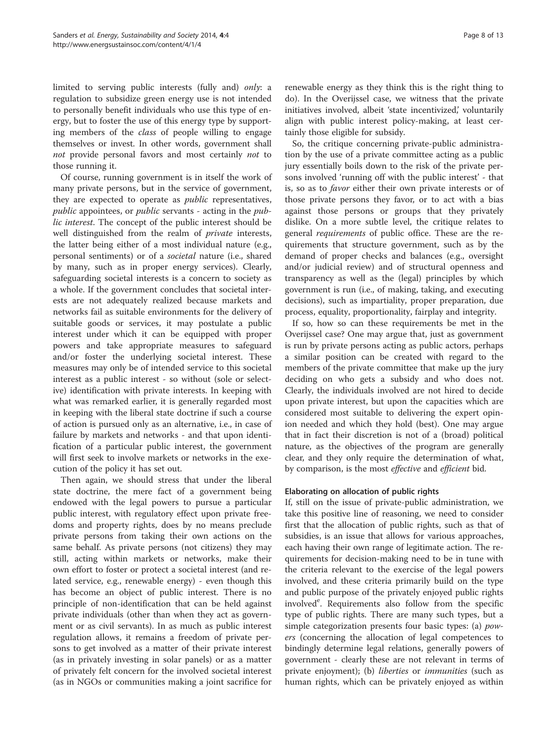limited to serving public interests (fully and) only: a regulation to subsidize green energy use is not intended to personally benefit individuals who use this type of energy, but to foster the use of this energy type by supporting members of the class of people willing to engage themselves or invest. In other words, government shall not provide personal favors and most certainly not to those running it.

Of course, running government is in itself the work of many private persons, but in the service of government, they are expected to operate as *public* representatives, public appointees, or *public* servants - acting in the *pub*lic interest. The concept of the public interest should be well distinguished from the realm of *private* interests, the latter being either of a most individual nature (e.g., personal sentiments) or of a societal nature (i.e., shared by many, such as in proper energy services). Clearly, safeguarding societal interests is a concern to society as a whole. If the government concludes that societal interests are not adequately realized because markets and networks fail as suitable environments for the delivery of suitable goods or services, it may postulate a public interest under which it can be equipped with proper powers and take appropriate measures to safeguard and/or foster the underlying societal interest. These measures may only be of intended service to this societal interest as a public interest - so without (sole or selective) identification with private interests. In keeping with what was remarked earlier, it is generally regarded most in keeping with the liberal state doctrine if such a course of action is pursued only as an alternative, i.e., in case of failure by markets and networks - and that upon identification of a particular public interest, the government will first seek to involve markets or networks in the execution of the policy it has set out.

Then again, we should stress that under the liberal state doctrine, the mere fact of a government being endowed with the legal powers to pursue a particular public interest, with regulatory effect upon private freedoms and property rights, does by no means preclude private persons from taking their own actions on the same behalf. As private persons (not citizens) they may still, acting within markets or networks, make their own effort to foster or protect a societal interest (and related service, e.g., renewable energy) - even though this has become an object of public interest. There is no principle of non-identification that can be held against private individuals (other than when they act as government or as civil servants). In as much as public interest regulation allows, it remains a freedom of private persons to get involved as a matter of their private interest (as in privately investing in solar panels) or as a matter of privately felt concern for the involved societal interest (as in NGOs or communities making a joint sacrifice for

renewable energy as they think this is the right thing to do). In the Overijssel case, we witness that the private initiatives involved, albeit 'state incentivized', voluntarily align with public interest policy-making, at least certainly those eligible for subsidy.

So, the critique concerning private-public administration by the use of a private committee acting as a public jury essentially boils down to the risk of the private persons involved 'running off with the public interest' - that is, so as to favor either their own private interests or of those private persons they favor, or to act with a bias against those persons or groups that they privately dislike. On a more subtle level, the critique relates to general *requirements* of public office. These are the requirements that structure government, such as by the demand of proper checks and balances (e.g., oversight and/or judicial review) and of structural openness and transparency as well as the (legal) principles by which government is run (i.e., of making, taking, and executing decisions), such as impartiality, proper preparation, due process, equality, proportionality, fairplay and integrity.

If so, how so can these requirements be met in the Overijssel case? One may argue that, just as government is run by private persons acting as public actors, perhaps a similar position can be created with regard to the members of the private committee that make up the jury deciding on who gets a subsidy and who does not. Clearly, the individuals involved are not hired to decide upon private interest, but upon the capacities which are considered most suitable to delivering the expert opinion needed and which they hold (best). One may argue that in fact their discretion is not of a (broad) political nature, as the objectives of the program are generally clear, and they only require the determination of what, by comparison, is the most effective and efficient bid.

#### Elaborating on allocation of public rights

If, still on the issue of private-public administration, we take this positive line of reasoning, we need to consider first that the allocation of public rights, such as that of subsidies, is an issue that allows for various approaches, each having their own range of legitimate action. The requirements for decision-making need to be in tune with the criteria relevant to the exercise of the legal powers involved, and these criteria primarily build on the type and public purpose of the privately enjoyed public rights involved<sup>e</sup>. Requirements also follow from the specific type of public rights. There are many such types, but a simple categorization presents four basic types: (a) *pow*ers (concerning the allocation of legal competences to bindingly determine legal relations, generally powers of government - clearly these are not relevant in terms of private enjoyment); (b) *liberties* or *immunities* (such as human rights, which can be privately enjoyed as within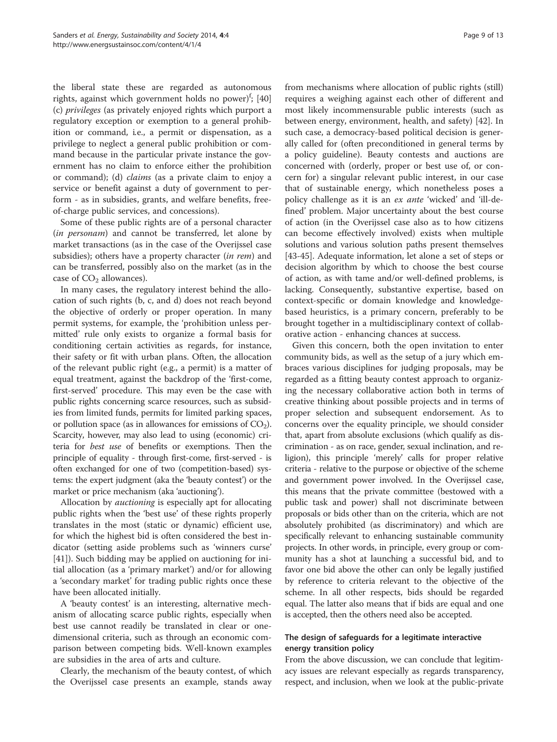the liberal state these are regarded as autonomous rights, against which government holds no power) $^{\rm f}$ ; [[40](#page-12-0)] (c) privileges (as privately enjoyed rights which purport a regulatory exception or exemption to a general prohibition or command, i.e., a permit or dispensation, as a privilege to neglect a general public prohibition or command because in the particular private instance the government has no claim to enforce either the prohibition or command); (d) claims (as a private claim to enjoy a service or benefit against a duty of government to perform - as in subsidies, grants, and welfare benefits, freeof-charge public services, and concessions).

Some of these public rights are of a personal character (*in personam*) and cannot be transferred, let alone by market transactions (as in the case of the Overijssel case subsidies); others have a property character (in rem) and can be transferred, possibly also on the market (as in the case of  $CO<sub>2</sub>$  allowances).

In many cases, the regulatory interest behind the allocation of such rights (b, c, and d) does not reach beyond the objective of orderly or proper operation. In many permit systems, for example, the 'prohibition unless permitted' rule only exists to organize a formal basis for conditioning certain activities as regards, for instance, their safety or fit with urban plans. Often, the allocation of the relevant public right (e.g., a permit) is a matter of equal treatment, against the backdrop of the 'first-come, first-served' procedure. This may even be the case with public rights concerning scarce resources, such as subsidies from limited funds, permits for limited parking spaces, or pollution space (as in allowances for emissions of  $CO<sub>2</sub>$ ). Scarcity, however, may also lead to using (economic) criteria for best use of benefits or exemptions. Then the principle of equality - through first-come, first-served - is often exchanged for one of two (competition-based) systems: the expert judgment (aka the 'beauty contest') or the market or price mechanism (aka 'auctioning').

Allocation by auctioning is especially apt for allocating public rights when the 'best use' of these rights properly translates in the most (static or dynamic) efficient use, for which the highest bid is often considered the best indicator (setting aside problems such as 'winners curse' [[41\]](#page-12-0)). Such bidding may be applied on auctioning for initial allocation (as a 'primary market') and/or for allowing a 'secondary market' for trading public rights once these have been allocated initially.

A 'beauty contest' is an interesting, alternative mechanism of allocating scarce public rights, especially when best use cannot readily be translated in clear or onedimensional criteria, such as through an economic comparison between competing bids. Well-known examples are subsidies in the area of arts and culture.

Clearly, the mechanism of the beauty contest, of which the Overijssel case presents an example, stands away

from mechanisms where allocation of public rights (still) requires a weighing against each other of different and most likely incommensurable public interests (such as between energy, environment, health, and safety) [[42\]](#page-12-0). In such case, a democracy-based political decision is generally called for (often preconditioned in general terms by a policy guideline). Beauty contests and auctions are concerned with (orderly, proper or best use of, or concern for) a singular relevant public interest, in our case that of sustainable energy, which nonetheless poses a policy challenge as it is an ex ante 'wicked' and 'ill-defined' problem. Major uncertainty about the best course of action (in the Overijssel case also as to how citizens can become effectively involved) exists when multiple solutions and various solution paths present themselves [[43-45](#page-12-0)]. Adequate information, let alone a set of steps or decision algorithm by which to choose the best course of action, as with tame and/or well-defined problems, is lacking. Consequently, substantive expertise, based on context-specific or domain knowledge and knowledgebased heuristics, is a primary concern, preferably to be brought together in a multidisciplinary context of collaborative action - enhancing chances at success.

Given this concern, both the open invitation to enter community bids, as well as the setup of a jury which embraces various disciplines for judging proposals, may be regarded as a fitting beauty contest approach to organizing the necessary collaborative action both in terms of creative thinking about possible projects and in terms of proper selection and subsequent endorsement. As to concerns over the equality principle, we should consider that, apart from absolute exclusions (which qualify as discrimination - as on race, gender, sexual inclination, and religion), this principle 'merely' calls for proper relative criteria - relative to the purpose or objective of the scheme and government power involved. In the Overijssel case, this means that the private committee (bestowed with a public task and power) shall not discriminate between proposals or bids other than on the criteria, which are not absolutely prohibited (as discriminatory) and which are specifically relevant to enhancing sustainable community projects. In other words, in principle, every group or community has a shot at launching a successful bid, and to favor one bid above the other can only be legally justified by reference to criteria relevant to the objective of the scheme. In all other respects, bids should be regarded equal. The latter also means that if bids are equal and one is accepted, then the others need also be accepted.

## The design of safeguards for a legitimate interactive energy transition policy

From the above discussion, we can conclude that legitimacy issues are relevant especially as regards transparency, respect, and inclusion, when we look at the public-private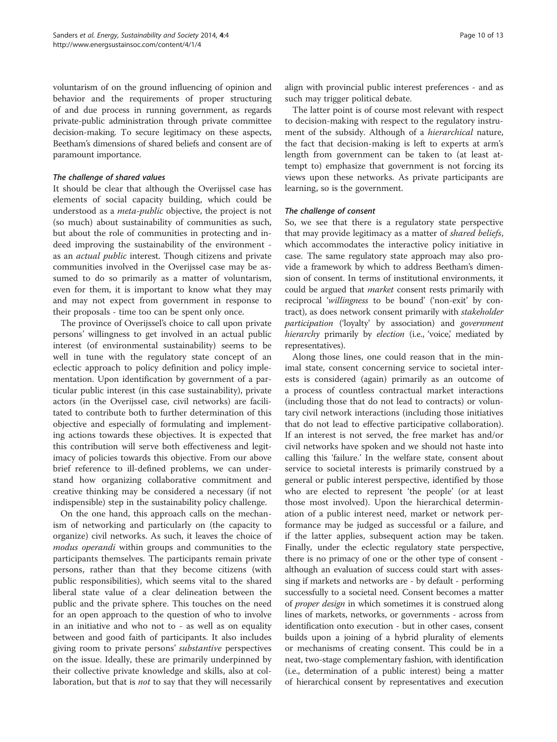voluntarism of on the ground influencing of opinion and behavior and the requirements of proper structuring of and due process in running government, as regards private-public administration through private committee decision-making. To secure legitimacy on these aspects, Beetham's dimensions of shared beliefs and consent are of paramount importance.

#### The challenge of shared values

It should be clear that although the Overijssel case has elements of social capacity building, which could be understood as a meta-public objective, the project is not (so much) about sustainability of communities as such, but about the role of communities in protecting and indeed improving the sustainability of the environment as an actual public interest. Though citizens and private communities involved in the Overijssel case may be assumed to do so primarily as a matter of voluntarism, even for them, it is important to know what they may and may not expect from government in response to their proposals - time too can be spent only once.

The province of Overijssel's choice to call upon private persons' willingness to get involved in an actual public interest (of environmental sustainability) seems to be well in tune with the regulatory state concept of an eclectic approach to policy definition and policy implementation. Upon identification by government of a particular public interest (in this case sustainability), private actors (in the Overijssel case, civil networks) are facilitated to contribute both to further determination of this objective and especially of formulating and implementing actions towards these objectives. It is expected that this contribution will serve both effectiveness and legitimacy of policies towards this objective. From our above brief reference to ill-defined problems, we can understand how organizing collaborative commitment and creative thinking may be considered a necessary (if not indispensible) step in the sustainability policy challenge.

On the one hand, this approach calls on the mechanism of networking and particularly on (the capacity to organize) civil networks. As such, it leaves the choice of modus operandi within groups and communities to the participants themselves. The participants remain private persons, rather than that they become citizens (with public responsibilities), which seems vital to the shared liberal state value of a clear delineation between the public and the private sphere. This touches on the need for an open approach to the question of who to involve in an initiative and who not to - as well as on equality between and good faith of participants. It also includes giving room to private persons' substantive perspectives on the issue. Ideally, these are primarily underpinned by their collective private knowledge and skills, also at collaboration, but that is not to say that they will necessarily

align with provincial public interest preferences - and as such may trigger political debate.

The latter point is of course most relevant with respect to decision-making with respect to the regulatory instrument of the subsidy. Although of a hierarchical nature, the fact that decision-making is left to experts at arm's length from government can be taken to (at least attempt to) emphasize that government is not forcing its views upon these networks. As private participants are learning, so is the government.

#### The challenge of consent

So, we see that there is a regulatory state perspective that may provide legitimacy as a matter of shared beliefs, which accommodates the interactive policy initiative in case. The same regulatory state approach may also provide a framework by which to address Beetham's dimension of consent. In terms of institutional environments, it could be argued that market consent rests primarily with reciprocal 'willingness to be bound' ('non-exit' by contract), as does network consent primarily with stakeholder participation ('loyalty' by association) and government hierarchy primarily by election (i.e., 'voice', mediated by representatives).

Along those lines, one could reason that in the minimal state, consent concerning service to societal interests is considered (again) primarily as an outcome of a process of countless contractual market interactions (including those that do not lead to contracts) or voluntary civil network interactions (including those initiatives that do not lead to effective participative collaboration). If an interest is not served, the free market has and/or civil networks have spoken and we should not haste into calling this 'failure.' In the welfare state, consent about service to societal interests is primarily construed by a general or public interest perspective, identified by those who are elected to represent 'the people' (or at least those most involved). Upon the hierarchical determination of a public interest need, market or network performance may be judged as successful or a failure, and if the latter applies, subsequent action may be taken. Finally, under the eclectic regulatory state perspective, there is no primacy of one or the other type of consent although an evaluation of success could start with assessing if markets and networks are - by default - performing successfully to a societal need. Consent becomes a matter of proper design in which sometimes it is construed along lines of markets, networks, or governments - across from identification onto execution - but in other cases, consent builds upon a joining of a hybrid plurality of elements or mechanisms of creating consent. This could be in a neat, two-stage complementary fashion, with identification (i.e., determination of a public interest) being a matter of hierarchical consent by representatives and execution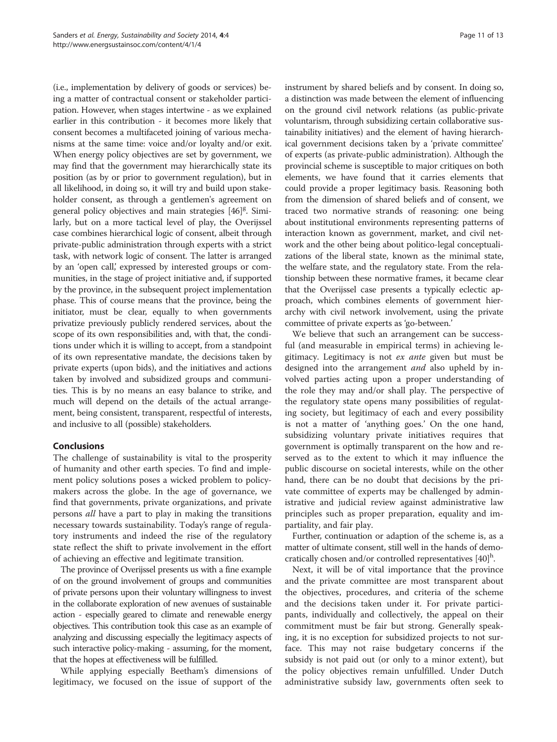(i.e., implementation by delivery of goods or services) being a matter of contractual consent or stakeholder participation. However, when stages intertwine - as we explained earlier in this contribution - it becomes more likely that consent becomes a multifaceted joining of various mechanisms at the same time: voice and/or loyalty and/or exit. When energy policy objectives are set by government, we may find that the government may hierarchically state its position (as by or prior to government regulation), but in all likelihood, in doing so, it will try and build upon stakeholder consent, as through a gentlemen's agreement on general policy objectives and main strategies [46]<sup>g</sup>. Similarly, but on a more tactical level of play, the Overijssel case combines hierarchical logic of consent, albeit through private-public administration through experts with a strict task, with network logic of consent. The latter is arranged by an 'open call,' expressed by interested groups or communities, in the stage of project initiative and, if supported by the province, in the subsequent project implementation phase. This of course means that the province, being the initiator, must be clear, equally to when governments privatize previously publicly rendered services, about the scope of its own responsibilities and, with that, the conditions under which it is willing to accept, from a standpoint of its own representative mandate, the decisions taken by private experts (upon bids), and the initiatives and actions taken by involved and subsidized groups and communities. This is by no means an easy balance to strike, and much will depend on the details of the actual arrangement, being consistent, transparent, respectful of interests, and inclusive to all (possible) stakeholders.

## Conclusions

The challenge of sustainability is vital to the prosperity of humanity and other earth species. To find and implement policy solutions poses a wicked problem to policymakers across the globe. In the age of governance, we find that governments, private organizations, and private persons all have a part to play in making the transitions necessary towards sustainability. Today's range of regulatory instruments and indeed the rise of the regulatory state reflect the shift to private involvement in the effort of achieving an effective and legitimate transition.

The province of Overijssel presents us with a fine example of on the ground involvement of groups and communities of private persons upon their voluntary willingness to invest in the collaborate exploration of new avenues of sustainable action - especially geared to climate and renewable energy objectives. This contribution took this case as an example of analyzing and discussing especially the legitimacy aspects of such interactive policy-making - assuming, for the moment, that the hopes at effectiveness will be fulfilled.

While applying especially Beetham's dimensions of legitimacy, we focused on the issue of support of the instrument by shared beliefs and by consent. In doing so, a distinction was made between the element of influencing on the ground civil network relations (as public-private voluntarism, through subsidizing certain collaborative sustainability initiatives) and the element of having hierarchical government decisions taken by a 'private committee' of experts (as private-public administration). Although the provincial scheme is susceptible to major critiques on both elements, we have found that it carries elements that could provide a proper legitimacy basis. Reasoning both from the dimension of shared beliefs and of consent, we traced two normative strands of reasoning: one being about institutional environments representing patterns of interaction known as government, market, and civil network and the other being about politico-legal conceptualizations of the liberal state, known as the minimal state, the welfare state, and the regulatory state. From the relationship between these normative frames, it became clear that the Overijssel case presents a typically eclectic approach, which combines elements of government hierarchy with civil network involvement, using the private committee of private experts as 'go-between.'

We believe that such an arrangement can be successful (and measurable in empirical terms) in achieving legitimacy. Legitimacy is not ex ante given but must be designed into the arrangement *and* also upheld by involved parties acting upon a proper understanding of the role they may and/or shall play. The perspective of the regulatory state opens many possibilities of regulating society, but legitimacy of each and every possibility is not a matter of 'anything goes.' On the one hand, subsidizing voluntary private initiatives requires that government is optimally transparent on the how and reserved as to the extent to which it may influence the public discourse on societal interests, while on the other hand, there can be no doubt that decisions by the private committee of experts may be challenged by administrative and judicial review against administrative law principles such as proper preparation, equality and impartiality, and fair play.

Further, continuation or adaption of the scheme is, as a matter of ultimate consent, still well in the hands of democratically chosen and/or controlled representatives  $[40]$ <sup>h</sup>.

Next, it will be of vital importance that the province and the private committee are most transparent about the objectives, procedures, and criteria of the scheme and the decisions taken under it. For private participants, individually and collectively, the appeal on their commitment must be fair but strong. Generally speaking, it is no exception for subsidized projects to not surface. This may not raise budgetary concerns if the subsidy is not paid out (or only to a minor extent), but the policy objectives remain unfulfilled. Under Dutch administrative subsidy law, governments often seek to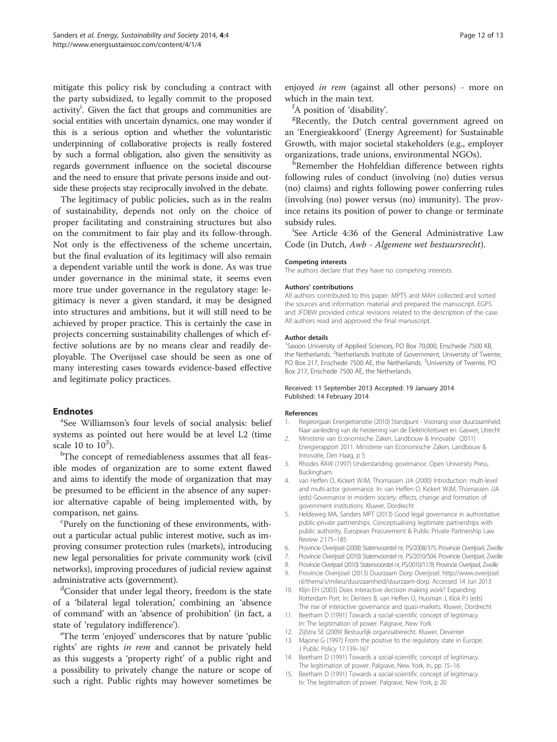<span id="page-11-0"></span>mitigate this policy risk by concluding a contract with the party subsidized, to legally commit to the proposed activity<sup>i</sup>. Given the fact that groups and communities are social entities with uncertain dynamics, one may wonder if this is a serious option and whether the voluntaristic underpinning of collaborative projects is really fostered by such a formal obligation, also given the sensitivity as regards government influence on the societal discourse and the need to ensure that private persons inside and outside these projects stay reciprocally involved in the debate.

The legitimacy of public policies, such as in the realm of sustainability, depends not only on the choice of proper facilitating and constraining structures but also on the commitment to fair play and its follow-through. Not only is the effectiveness of the scheme uncertain, but the final evaluation of its legitimacy will also remain a dependent variable until the work is done. As was true under governance in the minimal state, it seems even more true under governance in the regulatory stage: legitimacy is never a given standard, it may be designed into structures and ambitions, but it will still need to be achieved by proper practice. This is certainly the case in projects concerning sustainability challenges of which effective solutions are by no means clear and readily deployable. The Overijssel case should be seen as one of many interesting cases towards evidence-based effective and legitimate policy practices.

## **Endnotes**

See Williamson's four levels of social analysis: belief systems as pointed out here would be at level L2 (time scale 10 to  $10^2$ ).

<sup>b</sup>The concept of remediableness assumes that all feasible modes of organization are to some extent flawed and aims to identify the mode of organization that may be presumed to be efficient in the absence of any superior alternative capable of being implemented with, by comparison, net gains.

Purely on the functioning of these environments, without a particular actual public interest motive, such as improving consumer protection rules (markets), introducing new legal personalities for private community work (civil networks), improving procedures of judicial review against administrative acts (government).

<sup>d</sup>Consider that under legal theory, freedom is the state of a 'bilateral legal toleration,' combining an 'absence of command' with an 'absence of prohibition' (in fact, a state of 'regulatory indifference').

The term 'enjoyed' underscores that by nature 'public rights' are rights in rem and cannot be privately held as this suggests a 'property right' of a public right and a possibility to privately change the nature or scope of such a right. Public rights may however sometimes be

enjoyed *in rem* (against all other persons) - more on which in the main text.

<sup>f</sup>A position of 'disability'.<br><sup>g</sup>Recently, the Dutch ca

Recently, the Dutch central government agreed on an 'Energieakkoord' (Energy Agreement) for Sustainable Growth, with major societal stakeholders (e.g., employer organizations, trade unions, environmental NGOs).

<sup>h</sup>Remember the Hohfeldian difference between rights following rules of conduct (involving (no) duties versus (no) claims) and rights following power conferring rules (involving (no) power versus (no) immunity). The province retains its position of power to change or terminate subsidy rules.

<sup>i</sup>See Article 4:36 of the General Administrative Law Code (in Dutch, Awb - Algemene wet bestuursrecht).

#### Competing interests

The authors declare that they have no competing interests.

#### Authors' contributions

All authors contributed to this paper. MPTS and MAH collected and sorted the sources and information material and prepared the manuscript. EGPS and JFDBW provided critical revisions related to the description of the case. All authors read and approved the final manuscript.

#### Author details

<sup>1</sup> Saxion University of Applied Sciences, PO Box 70,000, Enschede 7500 KB, the Netherlands.<sup>2</sup>Netherlands Institute of Government, University of Twente, PO Box 217, Enschede 7500 AE, the Netherlands. <sup>3</sup>University of Twente, PO Box 217, Enschede 7500 AE, the Netherlands.

#### Received: 11 September 2013 Accepted: 19 January 2014 Published: 14 February 2014

#### References

- 1. Regieorgaan Energietransitie (2010) Standpunt Voorrang voor duurzaamheid. Naar aanleiding van de herziening van de Elektriciteitswet en. Gaswet, Utrecht
- 2. Ministerie van Economische Zaken, Landbouw & Innovatie (2011) Energierapport 2011. Ministerie van Economische Zaken, Landbouw & Innovatie, Den Haag, p 5
- 3. Rhodes RAW (1997) Understanding governance. Open University Press, Buckingham
- 4. van Heffen O, Kickert WJM, Thomassen JJA (2000) Introduction: multi-level and multi-actor governance. In: van Heffen O, Kickert WJM, Thomassen JJA (eds) Governance in modern society: effects, change and formation of government institutions. Kluwer, Dordrecht
- 5. Heldeweg MA, Sanders MPT (2013) Good legal governance in authoritative public-private partnerships. Conceptualising legitimate partnerships with public authority. European Procurement & Public Private Partnership Law Review 2:175–185
- 6. Provincie Overijssel (2008) Statenvoorstel nr, PS/2008/375. Provincie Overijssel, Zwolle
- 7. Provincie Overijssel (2010) Statenvoorstel nr, PS/2010/504. Provincie Overijssel, Zwolle
- 8. Provincie Overijssel (2010) Statenvoorstel nr, PS/2010/1178. Provincie Overijssel, Zwolle
- 9. Provincie Overijssel (2013) Duurzaam Dorp Overijssel. [http://www.overijssel.](http://www.overijssel.nl/thema) [nl/thema's/milieu/duurzaamheid/duurzaam-dorp](http://www.overijssel.nl/thema). Accessed 14 Jun 2013
- 10. Klijn EH (2003) Does interactive decision making work? Expanding Rotterdam Port. In: Denters B, van Heffen O, Huisman J, Klok PJ (eds) The rise of interactive governance and quasi-markets. Kluwer, Dordrecht 11. Beetham D (1991) Towards a social-scientific concept of legitimacy.
- In: The legitimation of power. Palgrave, New York
- 12. Zijlstra SE (2009) Bestuurlijk organisatierecht. Kluwer, Deventer
- 13. Majone G (1997) From the positive to the regulatory state in Europe. J Public Policy 17:139–167
- 14. Beetham D (1991) Towards a social-scientific concept of legitimacy. The legitimation of power. Palgrave, New York, In, pp 15–16
- 15. Beetham D (1991) Towards a social-scientific concept of legitimacy. In: The legitimation of power. Palgrave, New York, p 20